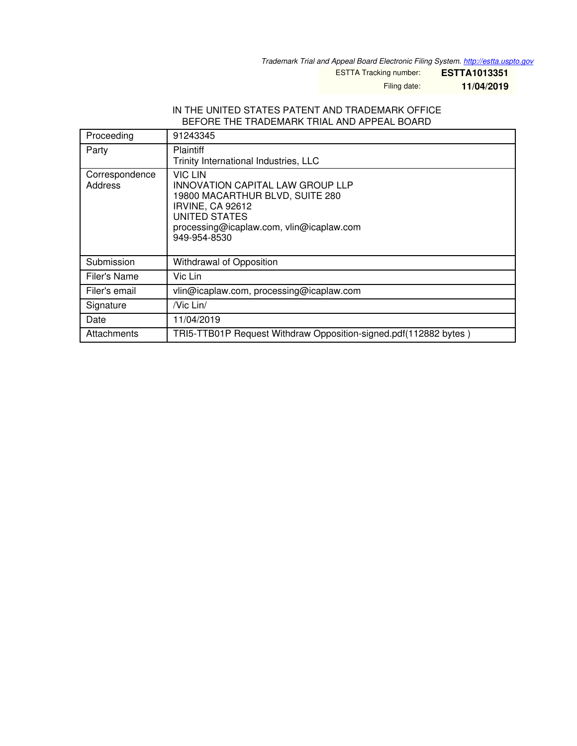*Trademark Trial and Appeal Board Electronic Filing System. <http://estta.uspto.gov>*

ESTTA Tracking number: **ESTTA1013351**

Filing date: **11/04/2019**

## IN THE UNITED STATES PATENT AND TRADEMARK OFFICE BEFORE THE TRADEMARK TRIAL AND APPEAL BOARD

| Proceeding                | 91243345                                                                                                                                                                                             |
|---------------------------|------------------------------------------------------------------------------------------------------------------------------------------------------------------------------------------------------|
| Party                     | <b>Plaintiff</b><br>Trinity International Industries, LLC                                                                                                                                            |
| Correspondence<br>Address | <b>VIC LIN</b><br><b>INNOVATION CAPITAL LAW GROUP LLP</b><br>19800 MACARTHUR BLVD, SUITE 280<br><b>IRVINE, CA 92612</b><br>UNITED STATES<br>processing@icaplaw.com, vlin@icaplaw.com<br>949-954-8530 |
| Submission                | Withdrawal of Opposition                                                                                                                                                                             |
| Filer's Name              | Vic Lin                                                                                                                                                                                              |
| Filer's email             | vlin@icaplaw.com, processing@icaplaw.com                                                                                                                                                             |
| Signature                 | /Vic Lin/                                                                                                                                                                                            |
| Date                      | 11/04/2019                                                                                                                                                                                           |
| Attachments               | TRI5-TTB01P Request Withdraw Opposition-signed.pdf(112882 bytes)                                                                                                                                     |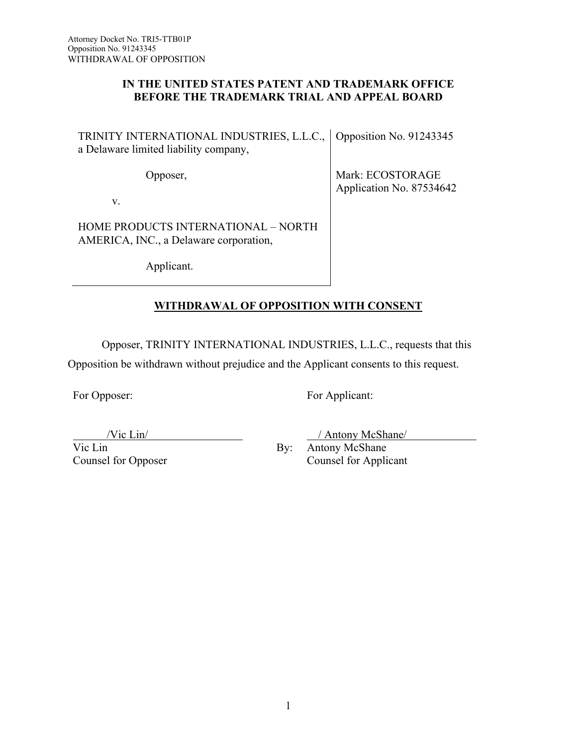## **IN THE UNITED STATES PATENT AND TRADEMARK OFFICE BEFORE THE TRADEMARK TRIAL AND APPEAL BOARD**

TRINITY INTERNATIONAL INDUSTRIES, L.L.C., Opposition No. 91243345 a Delaware limited liability company,

Opposer,

Mark: ECOSTORAGE Application No. 87534642

v.

HOME PRODUCTS INTERNATIONAL – NORTH AMERICA, INC., a Delaware corporation,

Applicant.

## **WITHDRAWAL OF OPPOSITION WITH CONSENT**

Opposer, TRINITY INTERNATIONAL INDUSTRIES, L.L.C., requests that this

Opposition be withdrawn without prejudice and the Applicant consents to this request.

For Opposer:

For Applicant:

/Vic Lin/

Vic Lin Counsel for Opposer By:

Antony McShane Counsel for Applicant

/ Antony McShane/